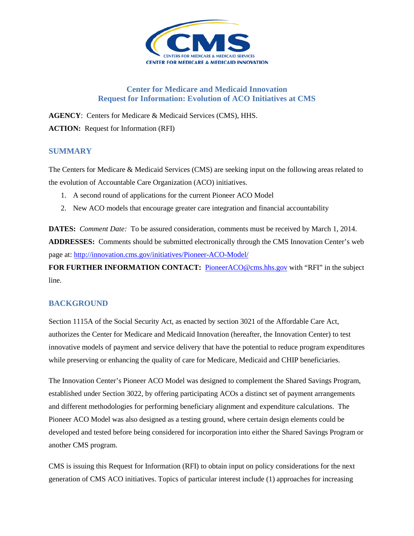

## **Center for Medicare and Medicaid Innovation Request for Information: Evolution of ACO Initiatives at CMS**

**AGENCY**: Centers for Medicare & Medicaid Services (CMS), HHS. **ACTION:** Request for Information (RFI)

## **SUMMARY**

The Centers for Medicare & Medicaid Services (CMS) are seeking input on the following areas related to the evolution of Accountable Care Organization (ACO) initiatives.

- 1. A second round of applications for the current Pioneer ACO Model
- 2. New ACO models that encourage greater care integration and financial accountability

**DATES:** *Comment Date:* To be assured consideration, comments must be received by March 1, 2014. **ADDRESSES:** Comments should be submitted electronically through the CMS Innovation Center's web page at:<http://innovation.cms.gov/initiatives/Pioneer-ACO-Model/>

FOR FURTHER INFORMATION CONTACT: [PioneerACO@cms.hhs.gov](mailto:PioneerACO@cms.hhs.gov) with "RFI" in the subject line.

# **BACKGROUND**

Section 1115A of the Social Security Act, as enacted by section 3021 of the Affordable Care Act, authorizes the Center for Medicare and Medicaid Innovation (hereafter, the Innovation Center) to test innovative models of payment and service delivery that have the potential to reduce program expenditures while preserving or enhancing the quality of care for Medicare, Medicaid and CHIP beneficiaries.

The Innovation Center's Pioneer ACO Model was designed to complement the Shared Savings Program, established under Section 3022, by offering participating ACOs a distinct set of payment arrangements and different methodologies for performing beneficiary alignment and expenditure calculations. The Pioneer ACO Model was also designed as a testing ground, where certain design elements could be developed and tested before being considered for incorporation into either the Shared Savings Program or another CMS program.

CMS is issuing this Request for Information (RFI) to obtain input on policy considerations for the next generation of CMS ACO initiatives. Topics of particular interest include (1) approaches for increasing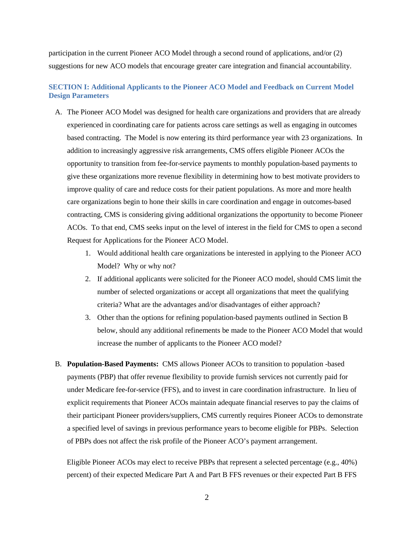participation in the current Pioneer ACO Model through a second round of applications, and/or (2) suggestions for new ACO models that encourage greater care integration and financial accountability.

## **SECTION I: Additional Applicants to the Pioneer ACO Model and Feedback on Current Model Design Parameters**

- A. The Pioneer ACO Model was designed for health care organizations and providers that are already experienced in coordinating care for patients across care settings as well as engaging in outcomes based contracting. The Model is now entering its third performance year with 23 organizations. In addition to increasingly aggressive risk arrangements, CMS offers eligible Pioneer ACOs the opportunity to transition from fee-for-service payments to monthly population-based payments to give these organizations more revenue flexibility in determining how to best motivate providers to improve quality of care and reduce costs for their patient populations. As more and more health care organizations begin to hone their skills in care coordination and engage in outcomes-based contracting, CMS is considering giving additional organizations the opportunity to become Pioneer ACOs. To that end, CMS seeks input on the level of interest in the field for CMS to open a second Request for Applications for the Pioneer ACO Model.
	- 1. Would additional health care organizations be interested in applying to the Pioneer ACO Model? Why or why not?
	- 2. If additional applicants were solicited for the Pioneer ACO model, should CMS limit the number of selected organizations or accept all organizations that meet the qualifying criteria? What are the advantages and/or disadvantages of either approach?
	- 3. Other than the options for refining population-based payments outlined in Section B below, should any additional refinements be made to the Pioneer ACO Model that would increase the number of applicants to the Pioneer ACO model?
- B. **Population-Based Payments:** CMS allows Pioneer ACOs to transition to population -based payments (PBP) that offer revenue flexibility to provide furnish services not currently paid for under Medicare fee-for-service (FFS), and to invest in care coordination infrastructure. In lieu of explicit requirements that Pioneer ACOs maintain adequate financial reserves to pay the claims of their participant Pioneer providers/suppliers, CMS currently requires Pioneer ACOs to demonstrate a specified level of savings in previous performance years to become eligible for PBPs. Selection of PBPs does not affect the risk profile of the Pioneer ACO's payment arrangement.

Eligible Pioneer ACOs may elect to receive PBPs that represent a selected percentage (e.g., 40%) percent) of their expected Medicare Part A and Part B FFS revenues or their expected Part B FFS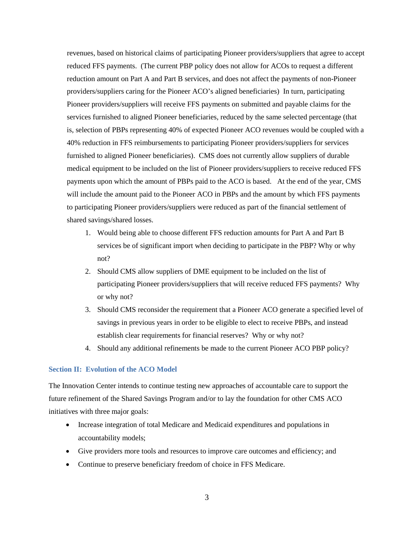revenues, based on historical claims of participating Pioneer providers/suppliers that agree to accept reduced FFS payments. (The current PBP policy does not allow for ACOs to request a different reduction amount on Part A and Part B services, and does not affect the payments of non-Pioneer providers/suppliers caring for the Pioneer ACO's aligned beneficiaries) In turn, participating Pioneer providers/suppliers will receive FFS payments on submitted and payable claims for the services furnished to aligned Pioneer beneficiaries, reduced by the same selected percentage (that is, selection of PBPs representing 40% of expected Pioneer ACO revenues would be coupled with a 40% reduction in FFS reimbursements to participating Pioneer providers/suppliers for services furnished to aligned Pioneer beneficiaries). CMS does not currently allow suppliers of durable medical equipment to be included on the list of Pioneer providers/suppliers to receive reduced FFS payments upon which the amount of PBPs paid to the ACO is based. At the end of the year, CMS will include the amount paid to the Pioneer ACO in PBPs and the amount by which FFS payments to participating Pioneer providers/suppliers were reduced as part of the financial settlement of shared savings/shared losses.

- 1. Would being able to choose different FFS reduction amounts for Part A and Part B services be of significant import when deciding to participate in the PBP? Why or why not?
- 2. Should CMS allow suppliers of DME equipment to be included on the list of participating Pioneer providers/suppliers that will receive reduced FFS payments? Why or why not?
- 3. Should CMS reconsider the requirement that a Pioneer ACO generate a specified level of savings in previous years in order to be eligible to elect to receive PBPs, and instead establish clear requirements for financial reserves? Why or why not?
- 4. Should any additional refinements be made to the current Pioneer ACO PBP policy?

#### **Section II: Evolution of the ACO Model**

The Innovation Center intends to continue testing new approaches of accountable care to support the future refinement of the Shared Savings Program and/or to lay the foundation for other CMS ACO initiatives with three major goals:

- Increase integration of total Medicare and Medicaid expenditures and populations in accountability models;
- Give providers more tools and resources to improve care outcomes and efficiency; and
- Continue to preserve beneficiary freedom of choice in FFS Medicare.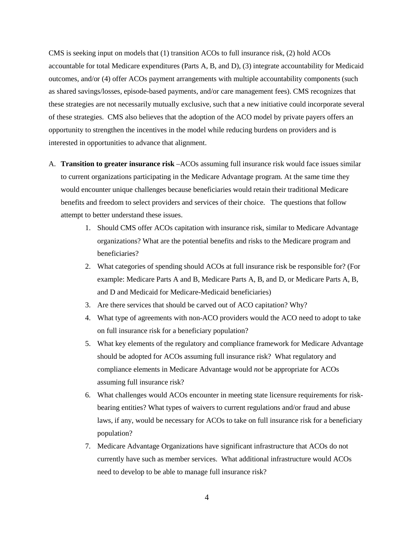CMS is seeking input on models that (1) transition ACOs to full insurance risk, (2) hold ACOs accountable for total Medicare expenditures (Parts A, B, and D), (3) integrate accountability for Medicaid outcomes, and/or (4) offer ACOs payment arrangements with multiple accountability components (such as shared savings/losses, episode-based payments, and/or care management fees). CMS recognizes that these strategies are not necessarily mutually exclusive, such that a new initiative could incorporate several of these strategies. CMS also believes that the adoption of the ACO model by private payers offers an opportunity to strengthen the incentives in the model while reducing burdens on providers and is interested in opportunities to advance that alignment.

- A. **Transition to greater insurance risk** –ACOs assuming full insurance risk would face issues similar to current organizations participating in the Medicare Advantage program. At the same time they would encounter unique challenges because beneficiaries would retain their traditional Medicare benefits and freedom to select providers and services of their choice. The questions that follow attempt to better understand these issues.
	- 1. Should CMS offer ACOs capitation with insurance risk, similar to Medicare Advantage organizations? What are the potential benefits and risks to the Medicare program and beneficiaries?
	- 2. What categories of spending should ACOs at full insurance risk be responsible for? (For example: Medicare Parts A and B, Medicare Parts A, B, and D, or Medicare Parts A, B, and D and Medicaid for Medicare-Medicaid beneficiaries)
	- 3. Are there services that should be carved out of ACO capitation? Why?
	- 4. What type of agreements with non-ACO providers would the ACO need to adopt to take on full insurance risk for a beneficiary population?
	- 5. What key elements of the regulatory and compliance framework for Medicare Advantage should be adopted for ACOs assuming full insurance risk? What regulatory and compliance elements in Medicare Advantage would *not* be appropriate for ACOs assuming full insurance risk?
	- 6. What challenges would ACOs encounter in meeting state licensure requirements for riskbearing entities? What types of waivers to current regulations and/or fraud and abuse laws, if any, would be necessary for ACOs to take on full insurance risk for a beneficiary population?
	- 7. Medicare Advantage Organizations have significant infrastructure that ACOs do not currently have such as member services. What additional infrastructure would ACOs need to develop to be able to manage full insurance risk?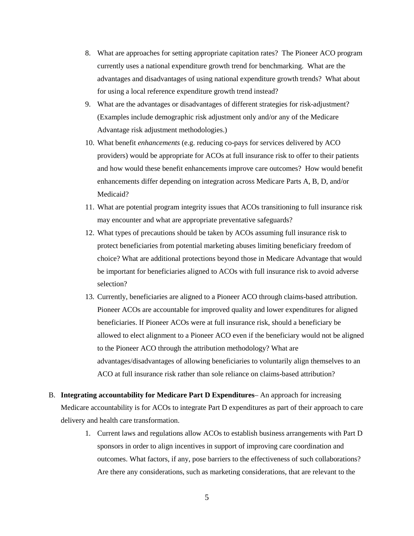- 8. What are approaches for setting appropriate capitation rates? The Pioneer ACO program currently uses a national expenditure growth trend for benchmarking. What are the advantages and disadvantages of using national expenditure growth trends? What about for using a local reference expenditure growth trend instead?
- 9. What are the advantages or disadvantages of different strategies for risk-adjustment? (Examples include demographic risk adjustment only and/or any of the Medicare Advantage risk adjustment methodologies.)
- 10. What benefit *enhancements* (e.g. reducing co-pays for services delivered by ACO providers) would be appropriate for ACOs at full insurance risk to offer to their patients and how would these benefit enhancements improve care outcomes? How would benefit enhancements differ depending on integration across Medicare Parts A, B, D, and/or Medicaid?
- 11. What are potential program integrity issues that ACOs transitioning to full insurance risk may encounter and what are appropriate preventative safeguards?
- 12. What types of precautions should be taken by ACOs assuming full insurance risk to protect beneficiaries from potential marketing abuses limiting beneficiary freedom of choice? What are additional protections beyond those in Medicare Advantage that would be important for beneficiaries aligned to ACOs with full insurance risk to avoid adverse selection?
- 13. Currently, beneficiaries are aligned to a Pioneer ACO through claims-based attribution. Pioneer ACOs are accountable for improved quality and lower expenditures for aligned beneficiaries. If Pioneer ACOs were at full insurance risk, should a beneficiary be allowed to elect alignment to a Pioneer ACO even if the beneficiary would not be aligned to the Pioneer ACO through the attribution methodology? What are advantages/disadvantages of allowing beneficiaries to voluntarily align themselves to an ACO at full insurance risk rather than sole reliance on claims-based attribution?
- B. **Integrating accountability for Medicare Part D Expenditures** An approach for increasing Medicare accountability is for ACOs to integrate Part D expenditures as part of their approach to care delivery and health care transformation.
	- 1. Current laws and regulations allow ACOs to establish business arrangements with Part D sponsors in order to align incentives in support of improving care coordination and outcomes. What factors, if any, pose barriers to the effectiveness of such collaborations? Are there any considerations, such as marketing considerations, that are relevant to the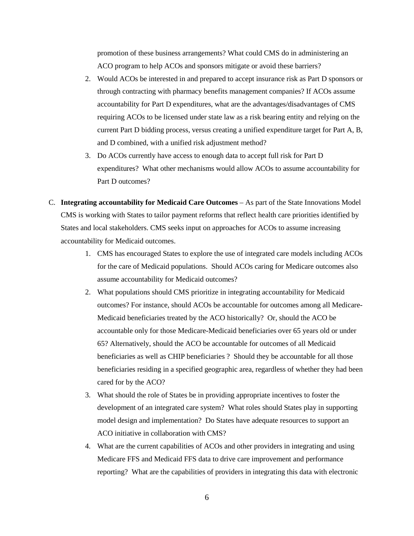promotion of these business arrangements? What could CMS do in administering an ACO program to help ACOs and sponsors mitigate or avoid these barriers?

- 2. Would ACOs be interested in and prepared to accept insurance risk as Part D sponsors or through contracting with pharmacy benefits management companies? If ACOs assume accountability for Part D expenditures, what are the advantages/disadvantages of CMS requiring ACOs to be licensed under state law as a risk bearing entity and relying on the current Part D bidding process, versus creating a unified expenditure target for Part A, B, and D combined, with a unified risk adjustment method?
- 3. Do ACOs currently have access to enough data to accept full risk for Part D expenditures? What other mechanisms would allow ACOs to assume accountability for Part D outcomes?
- C. **Integrating accountability for Medicaid Care Outcomes**  As part of the State Innovations Model CMS is working with States to tailor payment reforms that reflect health care priorities identified by States and local stakeholders. CMS seeks input on approaches for ACOs to assume increasing accountability for Medicaid outcomes.
	- 1. CMS has encouraged States to explore the use of integrated care models including ACOs for the care of Medicaid populations. Should ACOs caring for Medicare outcomes also assume accountability for Medicaid outcomes?
	- 2. What populations should CMS prioritize in integrating accountability for Medicaid outcomes? For instance, should ACOs be accountable for outcomes among all Medicare-Medicaid beneficiaries treated by the ACO historically? Or, should the ACO be accountable only for those Medicare-Medicaid beneficiaries over 65 years old or under 65? Alternatively, should the ACO be accountable for outcomes of all Medicaid beneficiaries as well as CHIP beneficiaries ? Should they be accountable for all those beneficiaries residing in a specified geographic area, regardless of whether they had been cared for by the ACO?
	- 3. What should the role of States be in providing appropriate incentives to foster the development of an integrated care system? What roles should States play in supporting model design and implementation? Do States have adequate resources to support an ACO initiative in collaboration with CMS?
	- 4. What are the current capabilities of ACOs and other providers in integrating and using Medicare FFS and Medicaid FFS data to drive care improvement and performance reporting? What are the capabilities of providers in integrating this data with electronic

6